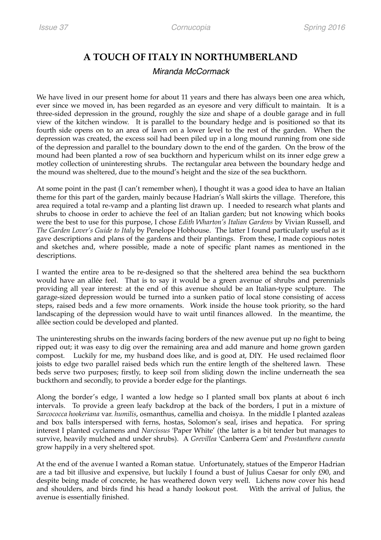## **A TOUCH OF ITALY IN NORTHUMBERLAND**

## *Miranda McCormack*

We have lived in our present home for about 11 years and there has always been one area which, ever since we moved in, has been regarded as an eyesore and very difficult to maintain. It is a three-sided depression in the ground, roughly the size and shape of a double garage and in full view of the kitchen window. It is parallel to the boundary hedge and is positioned so that its fourth side opens on to an area of lawn on a lower level to the rest of the garden. When the depression was created, the excess soil had been piled up in a long mound running from one side of the depression and parallel to the boundary down to the end of the garden. On the brow of the mound had been planted a row of sea buckthorn and hypericum whilst on its inner edge grew a motley collection of uninteresting shrubs. The rectangular area between the boundary hedge and the mound was sheltered, due to the mound's height and the size of the sea buckthorn.

At some point in the past (I can't remember when), I thought it was a good idea to have an Italian theme for this part of the garden, mainly because Hadrian's Wall skirts the village. Therefore, this area required a total re-vamp and a planting list drawn up. I needed to research what plants and shrubs to choose in order to achieve the feel of an Italian garden; but not knowing which books were the best to use for this purpose, I chose *Edith Wharton's Italian Gardens* by Vivian Russell, and *The Garden Lover's Guide to Italy* by Penelope Hobhouse. The latter I found particularly useful as it gave descriptions and plans of the gardens and their plantings. From these, I made copious notes and sketches and, where possible, made a note of specific plant names as mentioned in the descriptions.

I wanted the entire area to be re-designed so that the sheltered area behind the sea buckthorn would have an allée feel. That is to say it would be a green avenue of shrubs and perennials providing all year interest: at the end of this avenue should be an Italian-type sculpture. The garage-sized depression would be turned into a sunken patio of local stone consisting of access steps, raised beds and a few more ornaments. Work inside the house took priority, so the hard landscaping of the depression would have to wait until finances allowed. In the meantime, the allée section could be developed and planted.

The uninteresting shrubs on the inwards facing borders of the new avenue put up no fight to being ripped out; it was easy to dig over the remaining area and add manure and home grown garden compost. Luckily for me, my husband does like, and is good at, DIY. He used reclaimed floor joists to edge two parallel raised beds which run the entire length of the sheltered lawn. These beds serve two purposes; firstly, to keep soil from sliding down the incline underneath the sea buckthorn and secondly, to provide a border edge for the plantings.

Along the border's edge, I wanted a low hedge so I planted small box plants at about 6 inch intervals. To provide a green leafy backdrop at the back of the borders, I put in a mixture of *Sarcococca hookeriana* var. *humilis*, osmanthus, camellia and choisya. In the middle I planted azaleas and box balls interspersed with ferns, hostas, Solomon's seal, irises and hepatica. For spring interest I planted cyclamens and *Narcissus* 'Paper White' (the latter is a bit tender but manages to survive, heavily mulched and under shrubs). A *Grevillea* 'Canberra Gem' and *Prostanthera cuneata* grow happily in a very sheltered spot.

At the end of the avenue I wanted a Roman statue. Unfortunately, statues of the Emperor Hadrian are a tad bit illusive and expensive, but luckily I found a bust of Julius Caesar for only £90, and despite being made of concrete, he has weathered down very well. Lichens now cover his head and shoulders, and birds find his head a handy lookout post. With the arrival of Julius, the avenue is essentially finished.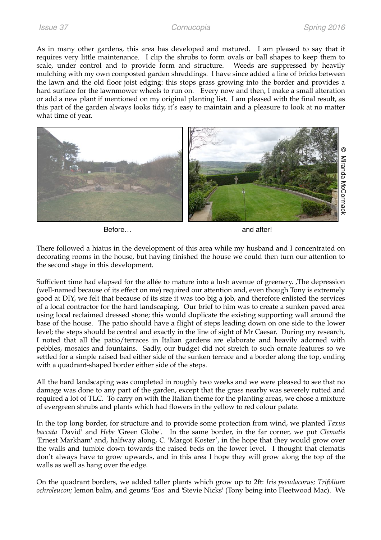As in many other gardens, this area has developed and matured. I am pleased to say that it requires very little maintenance. I clip the shrubs to form ovals or ball shapes to keep them to scale, under control and to provide form and structure. Weeds are suppressed by heavily mulching with my own composted garden shreddings. I have since added a line of bricks between the lawn and the old floor joist edging: this stops grass growing into the border and provides a hard surface for the lawnmower wheels to run on. Every now and then, I make a small alteration or add a new plant if mentioned on my original planting list. I am pleased with the final result, as this part of the garden always looks tidy, it's easy to maintain and a pleasure to look at no matter what time of year.



Before… **before** and after!

There followed a hiatus in the development of this area while my husband and I concentrated on decorating rooms in the house, but having finished the house we could then turn our attention to the second stage in this development.

Sufficient time had elapsed for the allée to mature into a lush avenue of greenery. ,The depression (well-named because of its effect on me) required our attention and, even though Tony is extremely good at DIY, we felt that because of its size it was too big a job, and therefore enlisted the services of a local contractor for the hard landscaping. Our brief to him was to create a sunken paved area using local reclaimed dressed stone; this would duplicate the existing supporting wall around the base of the house. The patio should have a flight of steps leading down on one side to the lower level; the steps should be central and exactly in the line of sight of Mr Caesar. During my research, I noted that all the patio/terraces in Italian gardens are elaborate and heavily adorned with pebbles, mosaics and fountains. Sadly, our budget did not stretch to such ornate features so we settled for a simple raised bed either side of the sunken terrace and a border along the top, ending with a quadrant-shaped border either side of the steps. **State of the state of the state of the state of this area while my husband and I concentrated on<br>eventing rooms in the house, but having finished the house we could then turn our attention to<br>the second stage in this deve** 

All the hard landscaping was completed in roughly two weeks and we were pleased to see that no damage was done to any part of the garden, except that the grass nearby was severely rutted and required a lot of TLC. To carry on with the Italian theme for the planting areas, we chose a mixture of evergreen shrubs and plants which had flowers in the yellow to red colour palate.

In the top long border, for structure and to provide some protection from wind, we planted *Taxus baccata* 'David' and *Hebe* 'Green Globe'. In the same border, in the far corner, we put *Clematis*  'Ernest Markham' and, halfway along, *C.* 'Margot Koster', in the hope that they would grow over the walls and tumble down towards the raised beds on the lower level. I thought that clematis don't always have to grow upwards, and in this area I hope they will grow along the top of the walls as well as hang over the edge.

On the quadrant borders, we added taller plants which grow up to 2ft: *Iris pseudacorus; Trifolium*